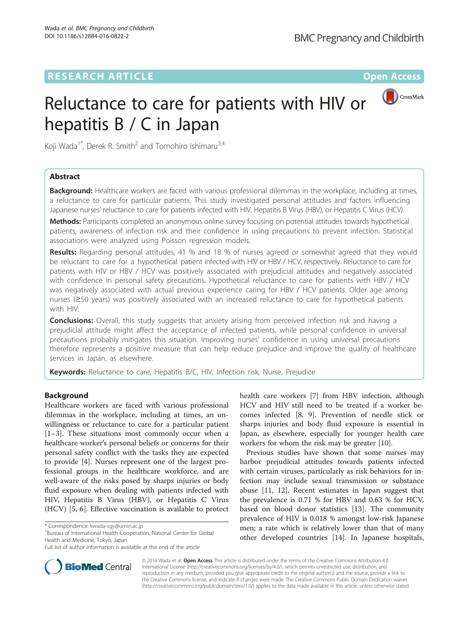# **RESEARCH ARTICLE Example 2014 12:30 The Contract of Contract ACCESS**



# Reluctance to care for patients with HIV or hepatitis B / C in Japan

Koji Wada<sup>1\*</sup>, Derek R. Smith<sup>2</sup> and Tomohiro Ishimaru<sup>3,4</sup>

# Abstract

Background: Healthcare workers are faced with various professional dilemmas in the workplace, including at times, a reluctance to care for particular patients. This study investigated personal attitudes and factors influencing Japanese nurses' reluctance to care for patients infected with HIV, Hepatitis B Virus (HBV), or Hepatitis C Virus (HCV).

Methods: Participants completed an anonymous online survey focusing on potential attitudes towards hypothetical patients, awareness of infection risk and their confidence in using precautions to prevent infection. Statistical associations were analyzed using Poisson regression models.

Results: Regarding personal attitudes, 41 % and 18 % of nurses agreed or somewhat agreed that they would be reluctant to care for a hypothetical patient infected with HIV or HBV / HCV, respectively. Reluctance to care for patients with HIV or HBV / HCV was positively associated with prejudicial attitudes and negatively associated with confidence in personal safety precautions. Hypothetical reluctance to care for patients with HBV / HCV was negatively associated with actual previous experience caring for HBV / HCV patients. Older age among nurses (≥50 years) was positively associated with an increased reluctance to care for hypothetical patients with HIV.

**Conclusions:** Overall, this study suggests that anxiety arising from perceived infection risk and having a prejudicial attitude might affect the acceptance of infected patients, while personal confidence in universal precautions probably mitigates this situation. Improving nurses' confidence in using universal precautions therefore represents a positive measure that can help reduce prejudice and improve the quality of healthcare services in Japan, as elsewhere.

Keywords: Reluctance to care, Hepatitis B/C, HIV, Infection risk, Nurse, Prejudice

# **Background**

Healthcare workers are faced with various professional dilemmas in the workplace, including at times, an unwillingness or reluctance to care for a particular patient [[1](#page-4-0)–[3\]](#page-5-0). These situations most commonly occur when a healthcare worker's personal beliefs or concerns for their personal safety conflict with the tasks they are expected to provide [[4](#page-5-0)]. Nurses represent one of the largest professional groups in the healthcare workforce, and are well-aware of the risks posed by sharps injuries or body fluid exposure when dealing with patients infected with HIV, Hepatitis B Virus (HBV), or Hepatitis C Virus (HCV) [[5, 6](#page-5-0)]. Effective vaccination is available to protect

<sup>1</sup>Bureau of International Health Cooperation, National Center for Global Health and Medicine, Tokyo, Japan

health care workers [[7\]](#page-5-0) from HBV infection, although HCV and HIV still need to be treated if a worker becomes infected [\[8](#page-5-0), [9\]](#page-5-0). Prevention of needle stick or sharps injuries and body fluid exposure is essential in Japan, as elsewhere, especially for younger health care workers for whom the risk may be greater [[10\]](#page-5-0).

Previous studies have shown that some nurses may harbor prejudicial attitudes towards patients infected with certain viruses, particularly as risk behaviors for infection may include sexual transmission or substance abuse [[11, 12](#page-5-0)]. Recent estimates in Japan suggest that the prevalence is 0.71 % for HBV and 0.63 % for HCV, based on blood donor statistics [[13\]](#page-5-0). The community prevalence of HIV is 0.018 % amongst low-risk Japanese men; a rate which is relatively lower than that of many other developed countries [[14\]](#page-5-0). In Japanese hospitals,



© 2016 Wada et al. Open Access This article is distributed under the terms of the Creative Commons Attribution 4.0 International License [\(http://creativecommons.org/licenses/by/4.0/](http://creativecommons.org/licenses/by/4.0/)), which permits unrestricted use, distribution, and reproduction in any medium, provided you give appropriate credit to the original author(s) and the source, provide a link to the Creative Commons license, and indicate if changes were made. The Creative Commons Public Domain Dedication waiver [\(http://creativecommons.org/publicdomain/zero/1.0/](http://creativecommons.org/publicdomain/zero/1.0/)) applies to the data made available in this article, unless otherwise stated.

<sup>\*</sup> Correspondence: [kwada-sgy@umin.ac.jp](mailto:kwada-sgy@umin.ac.jp) <sup>1</sup>

Full list of author information is available at the end of the article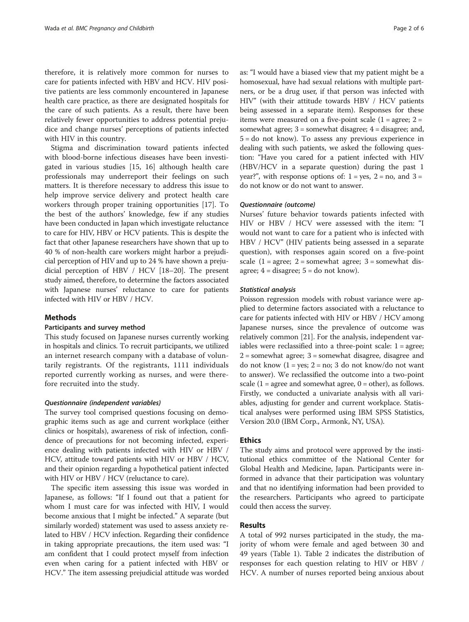therefore, it is relatively more common for nurses to care for patients infected with HBV and HCV. HIV positive patients are less commonly encountered in Japanese health care practice, as there are designated hospitals for the care of such patients. As a result, there have been relatively fewer opportunities to address potential prejudice and change nurses' perceptions of patients infected with HIV in this country.

Stigma and discrimination toward patients infected with blood-borne infectious diseases have been investigated in various studies [\[15](#page-5-0), [16](#page-5-0)] although health care professionals may underreport their feelings on such matters. It is therefore necessary to address this issue to help improve service delivery and protect health care workers through proper training opportunities [[17](#page-5-0)]. To the best of the authors' knowledge, few if any studies have been conducted in Japan which investigate reluctance to care for HIV, HBV or HCV patients. This is despite the fact that other Japanese researchers have shown that up to 40 % of non-health care workers might harbor a prejudicial perception of HIV and up to 24 % have shown a prejudicial perception of HBV / HCV [\[18](#page-5-0)–[20](#page-5-0)]. The present study aimed, therefore, to determine the factors associated with Japanese nurses' reluctance to care for patients infected with HIV or HBV / HCV.

# Methods

# Participants and survey method

This study focused on Japanese nurses currently working in hospitals and clinics. To recruit participants, we utilized an internet research company with a database of voluntarily registrants. Of the registrants, 1111 individuals reported currently working as nurses, and were therefore recruited into the study.

# Questionnaire (independent variables)

The survey tool comprised questions focusing on demographic items such as age and current workplace (either clinics or hospitals), awareness of risk of infection, confidence of precautions for not becoming infected, experience dealing with patients infected with HIV or HBV / HCV, attitude toward patients with HIV or HBV / HCV, and their opinion regarding a hypothetical patient infected with HIV or HBV / HCV (reluctance to care).

The specific item assessing this issue was worded in Japanese, as follows: "If I found out that a patient for whom I must care for was infected with HIV, I would become anxious that I might be infected." A separate (but similarly worded) statement was used to assess anxiety related to HBV / HCV infection. Regarding their confidence in taking appropriate precautions, the item used was: "I am confident that I could protect myself from infection even when caring for a patient infected with HBV or HCV." The item assessing prejudicial attitude was worded as: "I would have a biased view that my patient might be a homosexual, have had sexual relations with multiple partners, or be a drug user, if that person was infected with HIV" (with their attitude towards HBV / HCV patients being assessed in a separate item). Responses for these items were measured on a five-point scale  $(1 = \text{agree}; 2 =$ somewhat agree;  $3 =$  somewhat disagree;  $4 =$  disagree; and, 5 = do not know). To assess any previous experience in dealing with such patients, we asked the following question: "Have you cared for a patient infected with HIV (HBV/HCV in a separate question) during the past 1 year?", with response options of:  $1 = yes$ ,  $2 = no$ , and  $3 =$ do not know or do not want to answer.

#### Questionnaire (outcome)

Nurses' future behavior towards patients infected with HIV or HBV / HCV were assessed with the item: "I would not want to care for a patient who is infected with HBV / HCV" (HIV patients being assessed in a separate question), with responses again scored on a five-point scale  $(1 = \text{agree}; 2 = \text{somewhat agree}; 3 = \text{somewhat dis-}$ agree;  $4 =$  disagree;  $5 =$  do not know).

# Statistical analysis

Poisson regression models with robust variance were applied to determine factors associated with a reluctance to care for patients infected with HIV or HBV / HCV among Japanese nurses, since the prevalence of outcome was relatively common [\[21\]](#page-5-0). For the analysis, independent variables were reclassified into a three-point scale: 1 = agree;  $2 =$  somewhat agree;  $3 =$  somewhat disagree, disagree and do not know  $(1 = yes; 2 = no; 3$  do not know/do not want to answer). We reclassified the outcome into a two-point scale  $(1 = \text{agree and somewhat agree}, 0 = \text{other})$ , as follows. Firstly, we conducted a univariate analysis with all variables, adjusting for gender and current workplace. Statistical analyses were performed using IBM SPSS Statistics, Version 20.0 (IBM Corp., Armonk, NY, USA).

# Ethics

The study aims and protocol were approved by the institutional ethics committee of the National Center for Global Health and Medicine, Japan. Participants were informed in advance that their participation was voluntary and that no identifying information had been provided to the researchers. Participants who agreed to participate could then access the survey.

# Results

A total of 992 nurses participated in the study, the majority of whom were female and aged between 30 and 49 years (Table [1\)](#page-2-0). Table [2](#page-2-0) indicates the distribution of responses for each question relating to HIV or HBV / HCV. A number of nurses reported being anxious about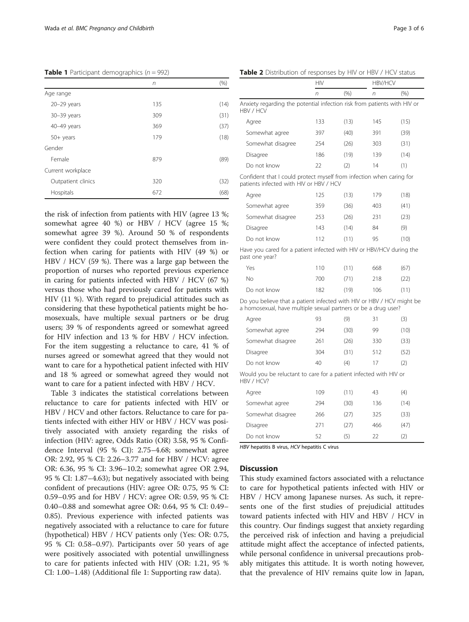<span id="page-2-0"></span>**Table 1** Participant demographics ( $n = 992$ )

|                    | n   | (%)  |
|--------------------|-----|------|
| Age range          |     |      |
| $20 - 29$ years    | 135 | (14) |
| $30 - 39$ years    | 309 | (31) |
| 40-49 years        | 369 | (37) |
| $50+$ years        | 179 | (18) |
| Gender             |     |      |
| Female             | 879 | (89) |
| Current workplace  |     |      |
| Outpatient clinics | 320 | (32) |
| Hospitals          | 672 | (68) |

the risk of infection from patients with HIV (agree 13 %; somewhat agree 40 %) or HBV / HCV (agree 15 %; somewhat agree 39 %). Around 50 % of respondents were confident they could protect themselves from infection when caring for patients with HIV (49 %) or HBV / HCV (59 %). There was a large gap between the proportion of nurses who reported previous experience in caring for patients infected with HBV / HCV (67 %) versus those who had previously cared for patients with HIV (11 %). With regard to prejudicial attitudes such as considering that these hypothetical patients might be homosexuals, have multiple sexual partners or be drug users; 39 % of respondents agreed or somewhat agreed for HIV infection and 13 % for HBV / HCV infection. For the item suggesting a reluctance to care, 41 % of nurses agreed or somewhat agreed that they would not want to care for a hypothetical patient infected with HIV and 18 % agreed or somewhat agreed they would not want to care for a patient infected with HBV / HCV.

Table [3](#page-3-0) indicates the statistical correlations between reluctance to care for patients infected with HIV or HBV / HCV and other factors. Reluctance to care for patients infected with either HIV or HBV / HCV was positively associated with anxiety regarding the risks of infection (HIV: agree, Odds Ratio (OR) 3.58, 95 % Confidence Interval (95 % CI): 2.75–4.68; somewhat agree OR: 2.92, 95 % CI: 2.26–3.77 and for HBV / HCV: agree OR: 6.36, 95 % CI: 3.96–10.2; somewhat agree OR 2.94, 95 % CI: 1.87–4.63); but negatively associated with being confident of precautions (HIV: agree OR: 0.75, 95 % CI: 0.59–0.95 and for HBV / HCV: agree OR: 0.59, 95 % CI: 0.40–0.88 and somewhat agree OR: 0.64, 95 % CI: 0.49– 0.85). Previous experience with infected patients was negatively associated with a reluctance to care for future (hypothetical) HBV / HCV patients only (Yes: OR: 0.75, 95 % CI: 0.58–0.97). Participants over 50 years of age were positively associated with potential unwillingness to care for patients infected with HIV (OR: 1.21, 95 % CI: 1.00–1.48) (Additional file [1:](#page-4-0) Supporting raw data).

|                                                                                                                                         | n   | (% ) | n   | (% ) |
|-----------------------------------------------------------------------------------------------------------------------------------------|-----|------|-----|------|
| Anxiety regarding the potential infection risk from patients with HIV or<br>HBV / HCV                                                   |     |      |     |      |
| Agree                                                                                                                                   | 133 | (13) | 145 | (15) |
| Somewhat agree                                                                                                                          | 397 | (40) | 391 | (39) |
| Somewhat disagree                                                                                                                       | 254 | (26) | 303 | (31) |
| Disagree                                                                                                                                | 186 | (19) | 139 | (14) |
| Do not know                                                                                                                             | 22  | (2)  | 14  | (1)  |
| Confident that I could protect myself from infection when caring for<br>patients infected with HIV or HBV / HCV                         |     |      |     |      |
| Agree                                                                                                                                   | 125 | (13) | 179 | (18) |
| Somewhat agree                                                                                                                          | 359 | (36) | 403 | (41) |
| Somewhat disagree                                                                                                                       | 253 | (26) | 231 | (23) |
| Disagree                                                                                                                                | 143 | (14) | 84  | (9)  |
| Do not know                                                                                                                             | 112 | (11) | 95  | (10) |
| Have you cared for a patient infected with HIV or HBV/HCV during the<br>past one year?                                                  |     |      |     |      |
| Yes                                                                                                                                     | 110 | (11) | 668 | (67) |
| No                                                                                                                                      | 700 | (71) | 218 | (22) |
| Do not know                                                                                                                             | 182 | (19) | 106 | (11) |
| Do you believe that a patient infected with HIV or HBV / HCV might be<br>a homosexual, have multiple sexual partners or be a drug user? |     |      |     |      |
| Agree                                                                                                                                   | 93  | (9)  | 31  | (3)  |
| Somewhat agree                                                                                                                          | 294 | (30) | 99  | (10) |
| Somewhat disagree                                                                                                                       | 261 | (26) | 330 | (33) |
| Disagree                                                                                                                                | 304 | (31) | 512 | (52) |
| Do not know                                                                                                                             | 40  | (4)  | 17  | (2)  |
| Would you be reluctant to care for a patient infected with HIV or<br>HBV / HCV?                                                         |     |      |     |      |
| Agree                                                                                                                                   | 109 | (11) | 43  | (4)  |
| Somewhat agree                                                                                                                          | 294 | (30) | 136 | (14) |
| Somewhat disagree                                                                                                                       | 266 | (27) | 325 | (33) |

HBV hepatitis B virus, HCV hepatitis C virus

#### **Discussion**

This study examined factors associated with a reluctance to care for hypothetical patients infected with HIV or HBV / HCV among Japanese nurses. As such, it represents one of the first studies of prejudicial attitudes toward patients infected with HIV and HBV / HCV in this country. Our findings suggest that anxiety regarding the perceived risk of infection and having a prejudicial attitude might affect the acceptance of infected patients, while personal confidence in universal precautions probably mitigates this attitude. It is worth noting however, that the prevalence of HIV remains quite low in Japan,

Disagree 271 (27) 466 (47) Do not know 52 (5) 22 (2)

Table 2 Distribution of responses by HIV or HBV / HCV status

HIV HRV/HCV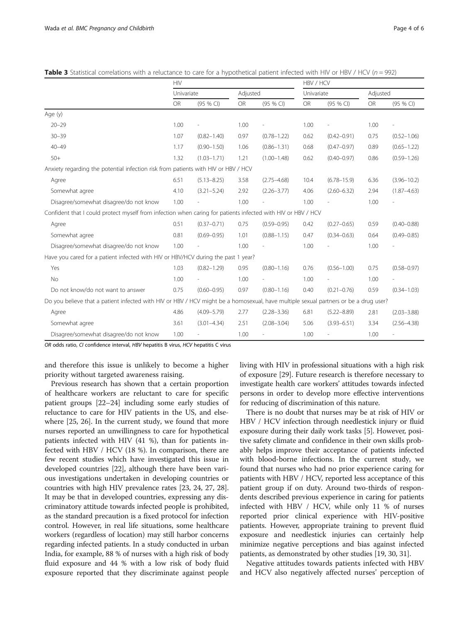|                                                                                                                                      | <b>HIV</b> |                 |           |                 |      | HBV / HCV       |           |                 |  |
|--------------------------------------------------------------------------------------------------------------------------------------|------------|-----------------|-----------|-----------------|------|-----------------|-----------|-----------------|--|
|                                                                                                                                      |            | Univariate      |           | Adjusted        |      | Univariate      |           | Adjusted        |  |
|                                                                                                                                      | OR         | (95 % CI)       | <b>OR</b> | (95 % CI)       | OR   | (95 % CI)       | <b>OR</b> | (95 % CI)       |  |
| Age (y)                                                                                                                              |            |                 |           |                 |      |                 |           |                 |  |
| $20 - 29$                                                                                                                            | 1.00       |                 | 1.00      |                 | 1.00 |                 | 1.00      |                 |  |
| $30 - 39$                                                                                                                            | 1.07       | $(0.82 - 1.40)$ | 0.97      | $(0.78 - 1.22)$ | 0.62 | $(0.42 - 0.91)$ | 0.75      | $(0.52 - 1.06)$ |  |
| $40 - 49$                                                                                                                            | 1.17       | $(0.90 - 1.50)$ | 1.06      | $(0.86 - 1.31)$ | 0.68 | $(0.47 - 0.97)$ | 0.89      | $(0.65 - 1.22)$ |  |
| $50+$                                                                                                                                | 1.32       | $(1.03 - 1.71)$ | 1.21      | $(1.00 - 1.48)$ | 0.62 | $(0.40 - 0.97)$ | 0.86      | $(0.59 - 1.26)$ |  |
| Anxiety regarding the potential infection risk from patients with HIV or HBV / HCV                                                   |            |                 |           |                 |      |                 |           |                 |  |
| Agree                                                                                                                                | 6.51       | $(5.13 - 8.25)$ | 3.58      | $(2.75 - 4.68)$ | 10.4 | $(6.78 - 15.9)$ | 6.36      | $(3.96 - 10.2)$ |  |
| Somewhat agree                                                                                                                       | 4.10       | $(3.21 - 5.24)$ | 2.92      | $(2.26 - 3.77)$ | 4.06 | $(2.60 - 6.32)$ | 2.94      | $(1.87 - 4.63)$ |  |
| Disagree/somewhat disagree/do not know                                                                                               | 1.00       |                 | 1.00      |                 | 1.00 |                 | 1.00      |                 |  |
| Confident that I could protect myself from infection when caring for patients infected with HIV or HBV / HCV                         |            |                 |           |                 |      |                 |           |                 |  |
| Agree                                                                                                                                | 0.51       | $(0.37 - 0.71)$ | 0.75      | $(0.59 - 0.95)$ | 0.42 | $(0.27 - 0.65)$ | 0.59      | $(0.40 - 0.88)$ |  |
| Somewhat agree                                                                                                                       | 0.81       | $(0.69 - 0.95)$ | 1.01      | $(0.88 - 1.15)$ | 0.47 | $(0.34 - 0.63)$ | 0.64      | $(0.49 - 0.85)$ |  |
| Disagree/somewhat disagree/do not know                                                                                               | 1.00       |                 | 1.00      |                 | 1.00 |                 | 1.00      |                 |  |
| Have you cared for a patient infected with HIV or HBV/HCV during the past 1 year?                                                    |            |                 |           |                 |      |                 |           |                 |  |
| Yes                                                                                                                                  | 1.03       | $(0.82 - 1.29)$ | 0.95      | $(0.80 - 1.16)$ | 0.76 | $(0.56 - 1.00)$ | 0.75      | $(0.58 - 0.97)$ |  |
| No                                                                                                                                   | 1.00       |                 | 1.00      |                 | 1.00 |                 | 1.00      |                 |  |
| Do not know/do not want to answer                                                                                                    | 0.75       | $(0.60 - 0.95)$ | 0.97      | $(0.80 - 1.16)$ | 0.40 | $(0.21 - 0.76)$ | 0.59      | $(0.34 - 1.03)$ |  |
| Do you believe that a patient infected with HIV or HBV / HCV might be a homosexual, have multiple sexual partners or be a drug user? |            |                 |           |                 |      |                 |           |                 |  |
| Agree                                                                                                                                | 4.86       | $(4.09 - 5.79)$ | 2.77      | $(2.28 - 3.36)$ | 6.81 | $(5.22 - 8.89)$ | 2.81      | $(2.03 - 3.88)$ |  |
| Somewhat agree                                                                                                                       | 3.61       | $(3.01 - 4.34)$ | 2.51      | $(2.08 - 3.04)$ | 5.06 | $(3.93 - 6.51)$ | 3.34      | $(2.56 - 4.38)$ |  |
| Disagree/somewhat disagree/do not know                                                                                               | 1.00       |                 | 1.00      |                 | 1.00 |                 | 1.00      |                 |  |

<span id="page-3-0"></span>Table 3 Statistical correlations with a reluctance to care for a hypothetical patient infected with HIV or HBV / HCV ( $n = 992$ )

OR odds ratio, CI confidence interval, HBV hepatitis B virus, HCV hepatitis C virus

and therefore this issue is unlikely to become a higher priority without targeted awareness raising.

Previous research has shown that a certain proportion of healthcare workers are reluctant to care for specific patient groups [[22](#page-5-0)–[24\]](#page-5-0) including some early studies of reluctance to care for HIV patients in the US, and elsewhere [\[25](#page-5-0), [26](#page-5-0)]. In the current study, we found that more nurses reported an unwillingness to care for hypothetical patients infected with HIV (41 %), than for patients infected with HBV / HCV (18 %). In comparison, there are few recent studies which have investigated this issue in developed countries [\[22\]](#page-5-0), although there have been various investigations undertaken in developing countries or countries with high HIV prevalence rates [[23](#page-5-0), [24](#page-5-0), [27](#page-5-0), [28](#page-5-0)]. It may be that in developed countries, expressing any discriminatory attitude towards infected people is prohibited, as the standard precaution is a fixed protocol for infection control. However, in real life situations, some healthcare workers (regardless of location) may still harbor concerns regarding infected patients. In a study conducted in urban India, for example, 88 % of nurses with a high risk of body fluid exposure and 44 % with a low risk of body fluid exposure reported that they discriminate against people living with HIV in professional situations with a high risk of exposure [[29](#page-5-0)]. Future research is therefore necessary to investigate health care workers' attitudes towards infected persons in order to develop more effective interventions for reducing of discrimination of this nature.

There is no doubt that nurses may be at risk of HIV or HBV / HCV infection through needlestick injury or fluid exposure during their daily work tasks [\[5](#page-5-0)]. However, positive safety climate and confidence in their own skills probably helps improve their acceptance of patients infected with blood-borne infections. In the current study, we found that nurses who had no prior experience caring for patients with HBV / HCV, reported less acceptance of this patient group if on duty. Around two-thirds of respondents described previous experience in caring for patients infected with HBV / HCV, while only 11 % of nurses reported prior clinical experience with HIV-positive patients. However, appropriate training to prevent fluid exposure and needlestick injuries can certainly help minimize negative perceptions and bias against infected patients, as demonstrated by other studies [[19](#page-5-0), [30, 31\]](#page-5-0).

Negative attitudes towards patients infected with HBV and HCV also negatively affected nurses' perception of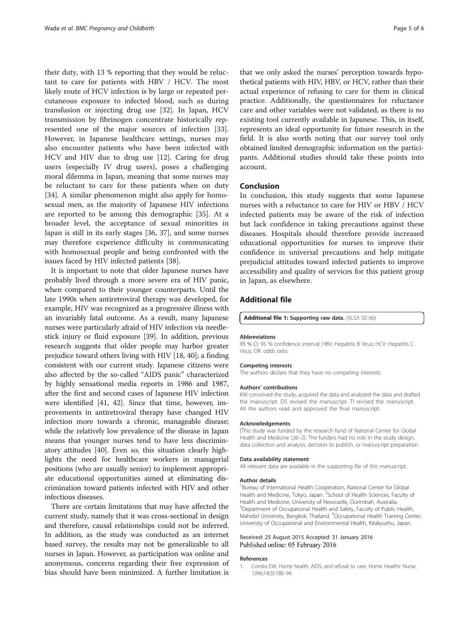<span id="page-4-0"></span>their duty, with 13 % reporting that they would be reluctant to care for patients with HBV / HCV. The most likely route of HCV infection is by large or repeated percutaneous exposure to infected blood, such as during transfusion or injecting drug use [\[32](#page-5-0)]. In Japan, HCV transmission by fibrinogen concentrate historically represented one of the major sources of infection [\[33](#page-5-0)]. However, in Japanese healthcare settings, nurses may also encounter patients who have been infected with HCV and HIV due to drug use [[12\]](#page-5-0). Caring for drug users (especially IV drug users), poses a challenging moral dilemma in Japan, meaning that some nurses may be reluctant to care for these patients when on duty [[34\]](#page-5-0). A similar phenomenon might also apply for homosexual men, as the majority of Japanese HIV infections are reported to be among this demographic [[35\]](#page-5-0). At a broader level, the acceptance of sexual minorities in Japan is still in its early stages [\[36](#page-5-0), [37](#page-5-0)], and some nurses may therefore experience difficulty in communicating with homosexual people and being confronted with the issues faced by HIV infected patients [\[38](#page-5-0)].

It is important to note that older Japanese nurses have probably lived through a more severe era of HIV panic, when compared to their younger counterparts. Until the late 1990s when antiretroviral therapy was developed, for example, HIV was recognized as a progressive illness with an invariably fatal outcome. As a result, many Japanese nurses were particularly afraid of HIV infection via needlestick injury or fluid exposure [\[39](#page-5-0)]. In addition, previous research suggests that older people may harbor greater prejudice toward others living with HIV [\[18, 40](#page-5-0)]; a finding consistent with our current study. Japanese citizens were also affected by the so-called "AIDS panic" characterized by highly sensational media reports in 1986 and 1987, after the first and second cases of Japanese HIV infection were identified [[41](#page-5-0), [42](#page-5-0)]. Since that time, however, improvements in antiretroviral therapy have changed HIV infection more towards a chronic, manageable disease; while the relatively low prevalence of the disease in Japan means that younger nurses tend to have less discriminatory attitudes [\[40\]](#page-5-0). Even so, this situation clearly highlights the need for healthcare workers in managerial positions (who are usually senior) to implement appropriate educational opportunities aimed at eliminating discrimination toward patients infected with HIV and other infectious diseases.

There are certain limitations that may have affected the current study, namely that it was cross-sectional in design and therefore, causal relationships could not be inferred. In addition, as the study was conducted as an internet based survey, the results may not be generalizable to all nurses in Japan. However, as participation was online and anonymous, concerns regarding their free expression of bias should have been minimized. A further limitation is

that we only asked the nurses' perception towards hypothetical patients with HIV, HBV, or HCV, rather than their actual experience of refusing to care for them in clinical practice. Additionally, the questionnaires for reluctance care and other variables were not validated, as there is no existing tool currently available in Japanese. This, in itself, represents an ideal opportunity for future research in the field. It is also worth noting that our survey tool only obtained limited demographic information on the participants. Additional studies should take these points into account.

#### Conclusion

In conclusion, this study suggests that some Japanese nurses with a reluctance to care for HIV or HBV / HCV infected patients may be aware of the risk of infection but lack confidence in taking precautions against these diseases. Hospitals should therefore provide increased educational opportunities for nurses to improve their confidence in universal precautions and help mitigate prejudicial attitudes toward infected patients to improve accessibility and quality of services for this patient group in Japan, as elsewhere.

# Additional file

[Additional file 1:](dx.doi.org/10.1186/s12884-016-0822-2) Supporting raw data. (XLSX 50 kb)

#### Abbreviations

95 % CI: 95 % confidence interval; HBV: Hepatitis B Virus; HCV: Hepatitis C Virus; OR: odds ratio.

#### Competing interests

The authors declare that they have no competing interests.

#### Authors' contributions

KW conceived the study, acquired the data and analyzed the data and drafted the manuscript. DS revised the manuscript. TI revised the manuscript. All the authors read and approved the final manuscript.

#### Acknowledgements

]This study was funded by the research fund of National Center for Global Health and Medicine (26–2). The funders had no role in the study design, data collection and analysis, decision to publish, or manuscript preparation.

#### Data availability statement

All relevant data are available in the supporting file of this manuscript.

#### Author details

<sup>1</sup>Bureau of International Health Cooperation, National Center for Global Health and Medicine, Tokyo, Japan. <sup>2</sup>School of Health Sciences, Faculty of Health and Medicine, University of Newcastle, Ourimbah, Australia. <sup>3</sup>Department of Occupational Health and Safety, Faculty of Public Health, Mahidol University, Bangkok, Thailand. <sup>4</sup> Occupational Health Training Center, University of Occupational and Environmental Health, Kitakyushu, Japan.

#### Received: 25 August 2015 Accepted: 31 January 2016 Published online: 05 February 2016

#### References

1. Combs EW. Home health, AIDS, and refusal to care. Home Healthc Nurse. 1996;14(3):188–94.